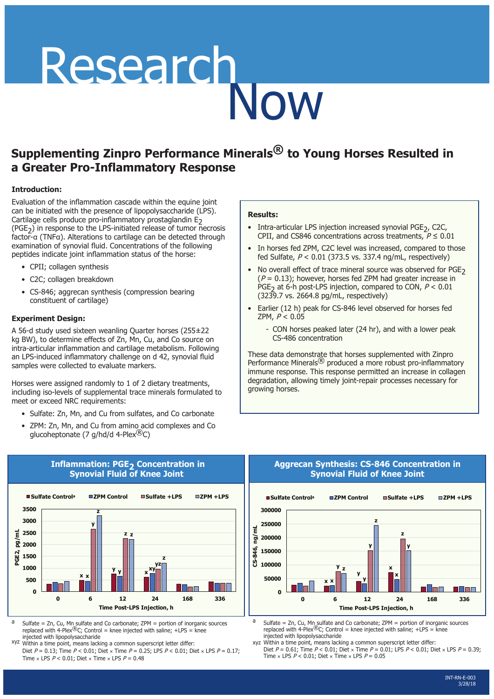# Research

### **Supplementing Zinpro Performance Minerals® to Young Horses Resulted in a Greater Pro-Inflammatory Response**

#### **Introduction:**

Evaluation of the inflammation cascade within the equine joint can be initiated with the presence of lipopolysaccharide (LPS). Cartilage cells produce pro-inflammatory prostaglandin E<sub>2</sub>  $(PGE<sub>2</sub>)$  in response to the LPS-initiated release of tumor necrosis factor-α (TNFα). Alterations to cartilage can be detected through examination of synovial fluid. Concentrations of the following peptides indicate joint inflammation status of the horse:

- CPII; collagen synthesis
- C2C; collagen breakdown
- CS-846; aggrecan synthesis (compression bearing constituent of cartilage)

#### **Experiment Design:**

A 56-d study used sixteen weanling Quarter horses (255±22 kg BW), to determine effects of Zn, Mn, Cu, and Co source on intra-articular inflammation and cartilage metabolism. Following an LPS-induced inflammatory challenge on d 42, synovial fluid samples were collected to evaluate markers.

Horses were assigned randomly to 1 of 2 dietary treatments, including iso-levels of supplemental trace minerals formulated to meet or exceed NRC requirements:

- Sulfate: Zn, Mn, and Cu from sulfates, and Co carbonate
- ZPM: Zn, Mn, and Cu from amino acid complexes and Co glucoheptonate (7 g/hd/d 4-Plex $\mathcal{B}_C$ )



**Inflammation: PGE<sub>2</sub> Concentration in Synovial Fluid of Knee Joint** 

#### Sulfate = Zn, Cu, Mn\_sulfate and Co carbonate; ZPM = portion of inorganic sources replaced with 4-Plex®C; Control = knee injected with saline; +LPS = knee injected with lipopolysaccharide

xyz Within a time point, means lacking a common superscript letter differ: Diet  $P = 0.13$ ; Time  $P < 0.01$ ; Diet  $\times$  Time  $P = 0.25$ ; LPS  $P < 0.01$ ; Diet  $\times$  LPS  $P = 0.17$ ; Time  $\times$  LPS  $P < 0.01$ ; Diet  $\times$  Time  $\times$  LPS  $P = 0.48$ 

#### **Results:**

- Intra-articular LPS injection increased synovial PGE<sub>2</sub>, C2C, CPII, and CS846 concentrations across treatments,  $P \le 0.01$
- In horses fed ZPM, C2C level was increased, compared to those fed Sulfate,  $P < 0.01$  (373.5 vs. 337.4 ng/mL, respectively)
- No overall effect of trace mineral source was observed for  $PGE<sub>2</sub>$  $(P = 0.13)$ ; however, horses fed ZPM had greater increase in PGE<sub>2</sub> at 6-h post-LPS injection, compared to CON,  $P < 0.01$ (3239.7 vs. 2664.8 pg/mL, respectively)
- Earlier (12 h) peak for CS-846 level observed for horses fed ZPM,  $P < 0.05$ 
	- CON horses peaked later (24 hr), and with a lower peak CS-486 concentration

These data demonstrate that horses supplemented with Zinpro Performance Minerals<sup>(8)</sup> produced a more robust pro-inflammatory immune response. This response permitted an increase in collagen degradation, allowing timely joint-repair processes necessary for growing horses.



**Aggrecan Synthesis: CS-846 Concentration in Synovial Fluid of Knee Joint**

Sulfate  $=$  Zn, Cu, Mn sulfate and Co carbonate: ZPM  $=$  portion of inorganic sources replaced with 4-Plex ${}^{\circ\circ}$ C; Control = knee injected with saline; +LPS = knee injected with lipopolysaccharide

xyz Within a time point, means lacking a common superscript letter differ: Diet  $P = 0.61$ ; Time  $P < 0.01$ ; Diet  $\times$  Time  $P = 0.01$ ; LPS  $P < 0.01$ ; Diet  $\times$  LPS  $P = 0.39$ ; Time  $\times$  LPS  $P < 0.01$ ; Diet  $\times$  Time  $\times$  LPS  $P = 0.05$